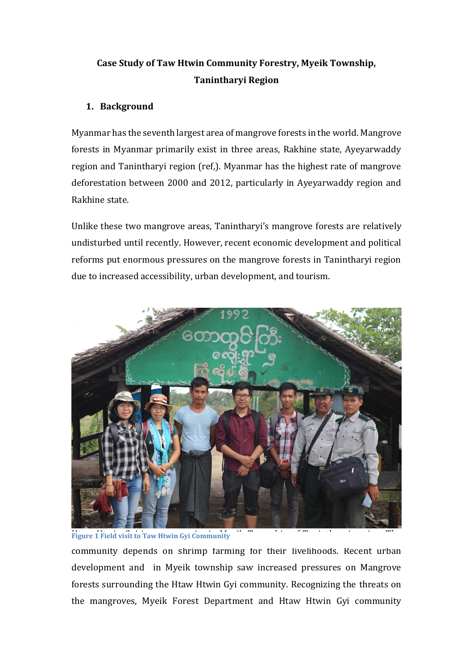# **Case Study of Taw Htwin Community Forestry, Myeik Township, Tanintharyi Region**

### **1. Background**

Myanmar has the seventh largest area of mangrove forests in the world. Mangrove forests in Myanmar primarily exist in three areas, Rakhine state, Ayeyarwaddy region and Tanintharyi region (ref,). Myanmar has the highest rate of mangrove deforestation between 2000 and 2012, particularly in Ayeyarwaddy region and Rakhine state.

Unlike these two mangrove areas, Tanintharyi's mangrove forests are relatively undisturbed until recently. However, recent economic development and political reforms put enormous pressures on the mangrove forests in Tanintharyi region due to increased accessibility, urban development, and tourism.



**Figure 1 Field visit to Taw Htwin Gyi Community** 

community depends on shrimp farming for their livelihoods. Recent urban development and in Myeik township saw increased pressures on Mangrove forests surrounding the Htaw Htwin Gyi community. Recognizing the threats on the mangroves, Myeik Forest Department and Htaw Htwin Gyi community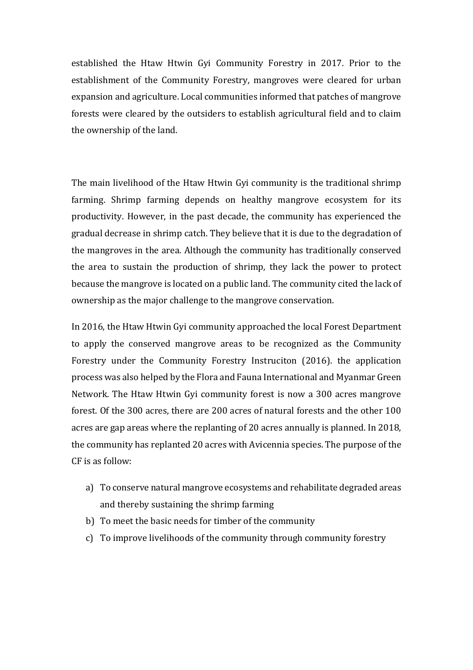established the Htaw Htwin Gyi Community Forestry in 2017. Prior to the establishment of the Community Forestry, mangroves were cleared for urban expansion and agriculture. Local communities informed that patches of mangrove forests were cleared by the outsiders to establish agricultural field and to claim the ownership of the land.

The main livelihood of the Htaw Htwin Gyi community is the traditional shrimp farming. Shrimp farming depends on healthy mangrove ecosystem for its productivity. However, in the past decade, the community has experienced the gradual decrease in shrimp catch. They believe that it is due to the degradation of the mangroves in the area. Although the community has traditionally conserved the area to sustain the production of shrimp, they lack the power to protect because the mangrove is located on a public land. The community cited the lack of ownership as the major challenge to the mangrove conservation.

In 2016, the Htaw Htwin Gyi community approached the local Forest Department to apply the conserved mangrove areas to be recognized as the Community Forestry under the Community Forestry Instruciton (2016). the application process was also helped by the Flora and Fauna International and Myanmar Green Network. The Htaw Htwin Gyi community forest is now a 300 acres mangrove forest. Of the 300 acres, there are 200 acres of natural forests and the other 100 acres are gap areas where the replanting of 20 acres annually is planned. In 2018, the community has replanted 20 acres with Avicennia species. The purpose of the CF is as follow:

- a) To conserve natural mangrove ecosystems and rehabilitate degraded areas and thereby sustaining the shrimp farming
- b) To meet the basic needs for timber of the community
- c) To improve livelihoods of the community through community forestry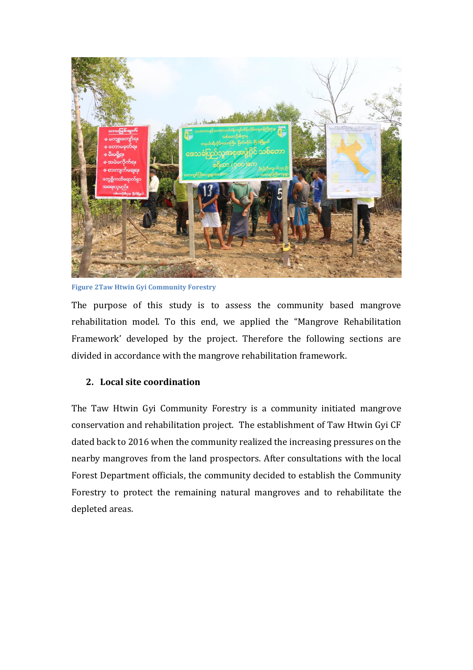

**Figure 2Taw Htwin Gyi Community Forestry**

The purpose of this study is to assess the community based mangrove rehabilitation model. To this end, we applied the "Mangrove Rehabilitation Framework' developed by the project. Therefore the following sections are divided in accordance with the mangrove rehabilitation framework.

## **2. Local site coordination**

The Taw Htwin Gyi Community Forestry is a community initiated mangrove conservation and rehabilitation project. The establishment of Taw Htwin Gyi CF dated back to 2016 when the community realized the increasing pressures on the nearby mangroves from the land prospectors. After consultations with the local Forest Department officials, the community decided to establish the Community Forestry to protect the remaining natural mangroves and to rehabilitate the depleted areas.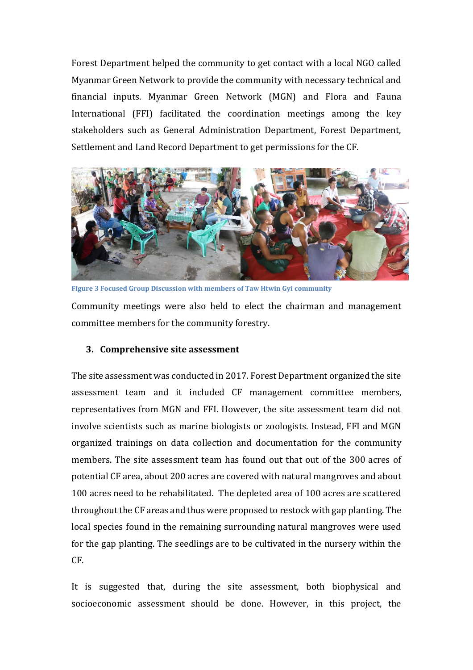Forest Department helped the community to get contact with a local NGO called Myanmar Green Network to provide the community with necessary technical and financial inputs. Myanmar Green Network (MGN) and Flora and Fauna International (FFI) facilitated the coordination meetings among the key stakeholders such as General Administration Department, Forest Department, Settlement and Land Record Department to get permissions for the CF.



Community meetings were also held to elect the chairman and management committee members for the community forestry. **Figure 3 Focused Group Discussion with members of Taw Htwin Gyi community**

#### **3. Comprehensive site assessment**

The site assessment was conducted in 2017. Forest Department organized the site assessment team and it included CF management committee members, representatives from MGN and FFI. However, the site assessment team did not involve scientists such as marine biologists or zoologists. Instead, FFI and MGN organized trainings on data collection and documentation for the community members. The site assessment team has found out that out of the 300 acres of potential CF area, about 200 acres are covered with natural mangroves and about 100 acres need to be rehabilitated. The depleted area of 100 acres are scattered throughout the CF areas and thus were proposed to restock with gap planting. The local species found in the remaining surrounding natural mangroves were used for the gap planting. The seedlings are to be cultivated in the nursery within the CF.

It is suggested that, during the site assessment, both biophysical and socioeconomic assessment should be done. However, in this project, the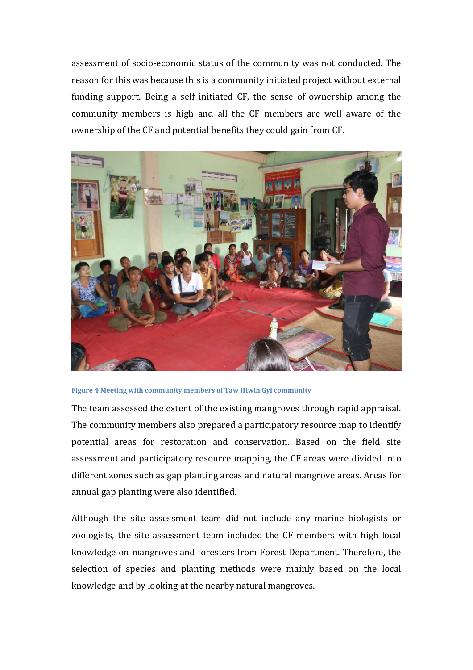assessment of socio-economic status of the community was not conducted. The reason for this was because this is a community initiated project without external funding support. Being a self initiated CF, the sense of ownership among the community members is high and all the CF members are well aware of the ownership of the CF and potential benefits they could gain from CF.





The team assessed the extent of the existing mangroves through rapid appraisal. The community members also prepared a participatory resource map to identify potential areas for restoration and conservation. Based on the field site assessment and participatory resource mapping, the CF areas were divided into different zones such as gap planting areas and natural mangrove areas. Areas for annual gap planting were also identified.

Although the site assessment team did not include any marine biologists or zoologists, the site assessment team included the CF members with high local knowledge on mangroves and foresters from Forest Department. Therefore, the selection of species and planting methods were mainly based on the local knowledge and by looking at the nearby natural mangroves.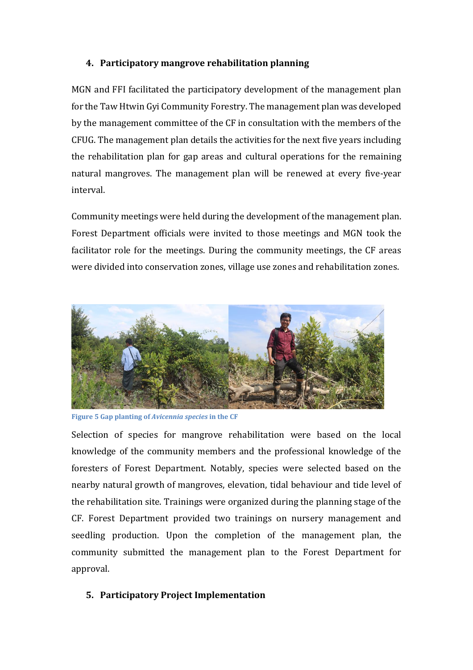## **4. Participatory mangrove rehabilitation planning**

MGN and FFI facilitated the participatory development of the management plan for the Taw Htwin Gyi Community Forestry. The management plan was developed by the management committee of the CF in consultation with the members of the CFUG. The management plan details the activities for the next five years including the rehabilitation plan for gap areas and cultural operations for the remaining natural mangroves. The management plan will be renewed at every five-year interval.

Community meetings were held during the development of the management plan. Forest Department officials were invited to those meetings and MGN took the facilitator role for the meetings. During the community meetings, the CF areas were divided into conservation zones, village use zones and rehabilitation zones.



**Figure 5 Gap planting of** *Avicennia species* **in the CF**

Selection of species for mangrove rehabilitation were based on the local knowledge of the community members and the professional knowledge of the foresters of Forest Department. Notably, species were selected based on the nearby natural growth of mangroves, elevation, tidal behaviour and tide level of the rehabilitation site. Trainings were organized during the planning stage of the CF. Forest Department provided two trainings on nursery management and seedling production. Upon the completion of the management plan, the community submitted the management plan to the Forest Department for approval.

## **5. Participatory Project Implementation**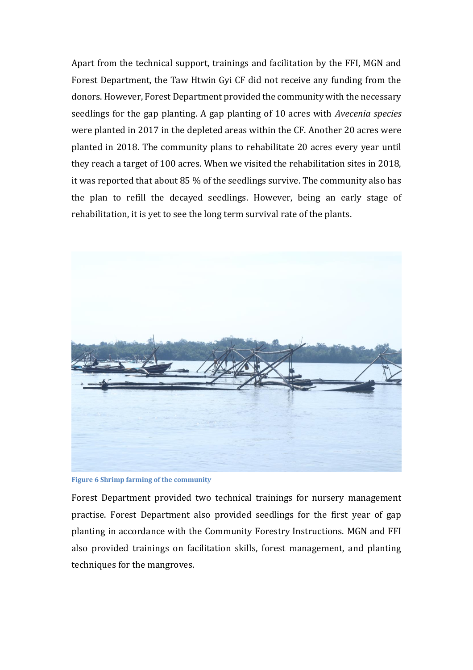Apart from the technical support, trainings and facilitation by the FFI, MGN and Forest Department, the Taw Htwin Gyi CF did not receive any funding from the donors. However, Forest Department provided the community with the necessary seedlings for the gap planting. A gap planting of 10 acres with *Avecenia species*  were planted in 2017 in the depleted areas within the CF. Another 20 acres were planted in 2018. The community plans to rehabilitate 20 acres every year until they reach a target of 100 acres. When we visited the rehabilitation sites in 2018, it was reported that about 85 % of the seedlings survive. The community also has the plan to refill the decayed seedlings. However, being an early stage of rehabilitation, it is yet to see the long term survival rate of the plants.



**Figure 6 Shrimp farming of the community**

Forest Department provided two technical trainings for nursery management practise. Forest Department also provided seedlings for the first year of gap planting in accordance with the Community Forestry Instructions. MGN and FFI also provided trainings on facilitation skills, forest management, and planting techniques for the mangroves.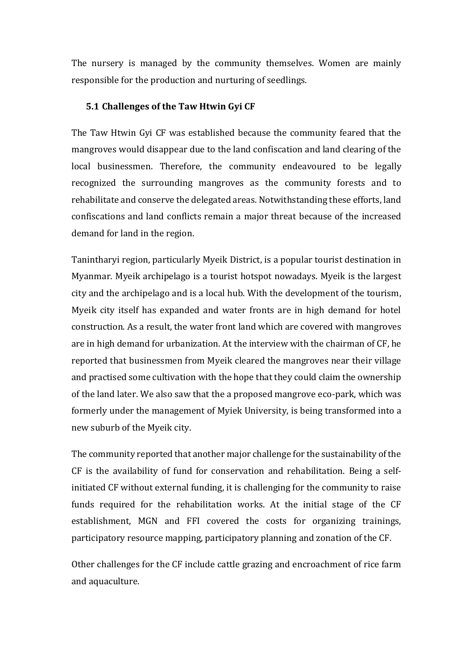The nursery is managed by the community themselves. Women are mainly responsible for the production and nurturing of seedlings.

#### **5.1 Challenges of the Taw Htwin Gyi CF**

The Taw Htwin Gyi CF was established because the community feared that the mangroves would disappear due to the land confiscation and land clearing of the local businessmen. Therefore, the community endeavoured to be legally recognized the surrounding mangroves as the community forests and to rehabilitate and conserve the delegated areas. Notwithstanding these efforts, land confiscations and land conflicts remain a major threat because of the increased demand for land in the region.

Tanintharyi region, particularly Myeik District, is a popular tourist destination in Myanmar. Myeik archipelago is a tourist hotspot nowadays. Myeik is the largest city and the archipelago and is a local hub. With the development of the tourism, Myeik city itself has expanded and water fronts are in high demand for hotel construction. As a result, the water front land which are covered with mangroves are in high demand for urbanization. At the interview with the chairman of CF, he reported that businessmen from Myeik cleared the mangroves near their village and practised some cultivation with the hope that they could claim the ownership of the land later. We also saw that the a proposed mangrove eco-park, which was formerly under the management of Myiek University, is being transformed into a new suburb of the Myeik city.

The community reported that another major challenge for the sustainability of the CF is the availability of fund for conservation and rehabilitation. Being a selfinitiated CF without external funding, it is challenging for the community to raise funds required for the rehabilitation works. At the initial stage of the CF establishment, MGN and FFI covered the costs for organizing trainings, participatory resource mapping, participatory planning and zonation of the CF.

Other challenges for the CF include cattle grazing and encroachment of rice farm and aquaculture.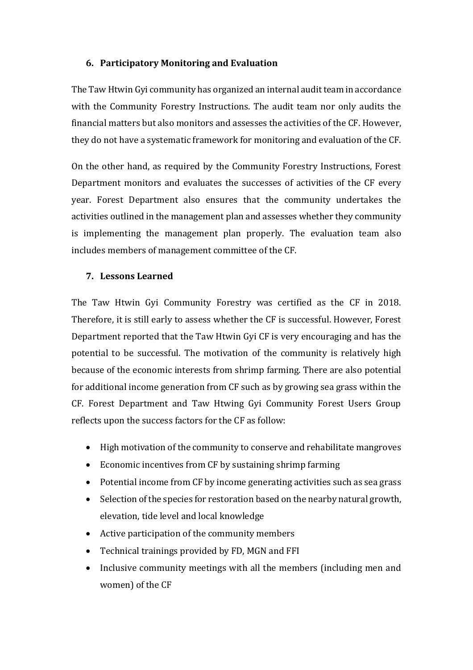#### **6. Participatory Monitoring and Evaluation**

The Taw Htwin Gyi community has organized an internal audit team in accordance with the Community Forestry Instructions. The audit team nor only audits the financial matters but also monitors and assesses the activities of the CF. However, they do not have a systematic framework for monitoring and evaluation of the CF.

On the other hand, as required by the Community Forestry Instructions, Forest Department monitors and evaluates the successes of activities of the CF every year. Forest Department also ensures that the community undertakes the activities outlined in the management plan and assesses whether they community is implementing the management plan properly. The evaluation team also includes members of management committee of the CF.

#### **7. Lessons Learned**

The Taw Htwin Gyi Community Forestry was certified as the CF in 2018. Therefore, it is still early to assess whether the CF is successful. However, Forest Department reported that the Taw Htwin Gyi CF is very encouraging and has the potential to be successful. The motivation of the community is relatively high because of the economic interests from shrimp farming. There are also potential for additional income generation from CF such as by growing sea grass within the CF. Forest Department and Taw Htwing Gyi Community Forest Users Group reflects upon the success factors for the CF as follow:

- High motivation of the community to conserve and rehabilitate mangroves
- Economic incentives from CF by sustaining shrimp farming
- Potential income from CF by income generating activities such as sea grass
- Selection of the species for restoration based on the nearby natural growth, elevation, tide level and local knowledge
- Active participation of the community members
- Technical trainings provided by FD, MGN and FFI
- Inclusive community meetings with all the members (including men and women) of the CF